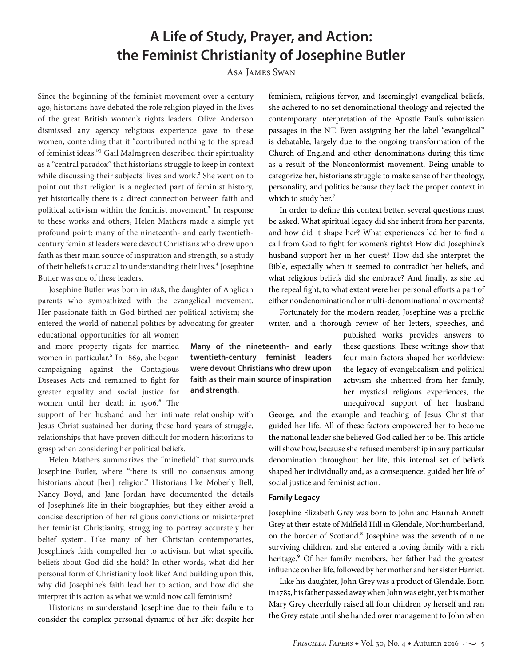# **A Life of Study, Prayer, and Action: the Feminist Christianity of Josephine Butler**

Asa James Swan

Since the beginning of the feminist movement over a century ago, historians have debated the role religion played in the lives of the great British women's rights leaders. Olive Anderson dismissed any agency religious experience gave to these women, contending that it "contributed nothing to the spread of feminist ideas."1 Gail Malmgreen described their spirituality as a "central paradox" that historians struggle to keep in context while discussing their subjects' lives and work.<sup>2</sup> She went on to point out that religion is a neglected part of feminist history, yet historically there is a direct connection between faith and political activism within the feminist movement.<sup>3</sup> In response to these works and others, Helen Mathers made a simple yet profound point: many of the nineteenth- and early twentiethcentury feminist leaders were devout Christians who drew upon faith as their main source of inspiration and strength, so a study of their beliefs is crucial to understanding their lives.<sup>4</sup> Josephine Butler was one of these leaders.

Josephine Butler was born in 1828, the daughter of Anglican parents who sympathized with the evangelical movement. Her passionate faith in God birthed her political activism; she entered the world of national politics by advocating for greater

educational opportunities for all women and more property rights for married women in particular.<sup>5</sup> In 1869, she began campaigning against the Contagious Diseases Acts and remained to fight for greater equality and social justice for women until her death in 1906.<sup>6</sup> The

support of her husband and her intimate relationship with Jesus Christ sustained her during these hard years of struggle, relationships that have proven difficult for modern historians to grasp when considering her political beliefs.

Helen Mathers summarizes the "minefield" that surrounds Josephine Butler, where "there is still no consensus among historians about [her] religion." Historians like Moberly Bell, Nancy Boyd, and Jane Jordan have documented the details of Josephine's life in their biographies, but they either avoid a concise description of her religious convictions or misinterpret her feminist Christianity, struggling to portray accurately her belief system. Like many of her Christian contemporaries, Josephine's faith compelled her to activism, but what specific beliefs about God did she hold? In other words, what did her personal form of Christianity look like? And building upon this, why did Josephine's faith lead her to action, and how did she interpret this action as what we would now call feminism?

Historians misunderstand Josephine due to their failure to consider the complex personal dynamic of her life: despite her feminism, religious fervor, and (seemingly) evangelical beliefs, she adhered to no set denominational theology and rejected the contemporary interpretation of the Apostle Paul's submission passages in the NT. Even assigning her the label "evangelical" is debatable, largely due to the ongoing transformation of the Church of England and other denominations during this time as a result of the Nonconformist movement. Being unable to categorize her, historians struggle to make sense of her theology, personality, and politics because they lack the proper context in which to study her.<sup>7</sup>

In order to define this context better, several questions must be asked. What spiritual legacy did she inherit from her parents, and how did it shape her? What experiences led her to find a call from God to fight for women's rights? How did Josephine's husband support her in her quest? How did she interpret the Bible, especially when it seemed to contradict her beliefs, and what religious beliefs did she embrace? And finally, as she led the repeal fight, to what extent were her personal efforts a part of either nondenominational or multi-denominational movements?

Fortunately for the modern reader, Josephine was a prolific writer, and a thorough review of her letters, speeches, and

> published works provides answers to these questions. These writings show that four main factors shaped her worldview: the legacy of evangelicalism and political activism she inherited from her family, her mystical religious experiences, the unequivocal support of her husband

George, and the example and teaching of Jesus Christ that guided her life. All of these factors empowered her to become the national leader she believed God called her to be. This article will show how, because she refused membership in any particular denomination throughout her life, this internal set of beliefs shaped her individually and, as a consequence, guided her life of social justice and feminist action.

#### **Family Legacy**

Josephine Elizabeth Grey was born to John and Hannah Annett Grey at their estate of Milfield Hill in Glendale, Northumberland, on the border of Scotland.<sup>8</sup> Josephine was the seventh of nine surviving children, and she entered a loving family with a rich heritage.<sup>9</sup> Of her family members, her father had the greatest influence on her life, followed by her mother and her sister Harriet.

Like his daughter, John Grey was a product of Glendale. Born in 1785, his father passed away when John was eight, yet his mother Mary Grey cheerfully raised all four children by herself and ran the Grey estate until she handed over management to John when

**Many of the nineteenth- and early twentieth-century feminist leaders were devout Christians who drew upon faith as their main source of inspiration and strength.**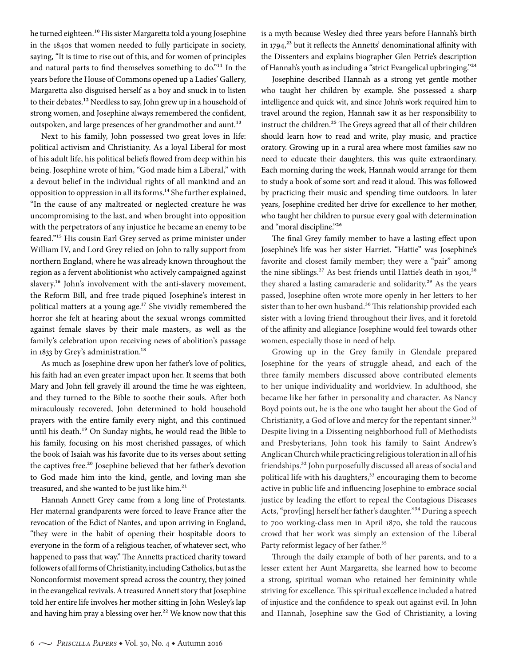he turned eighteen.10 His sister Margaretta told a young Josephine in the 1840s that women needed to fully participate in society, saying, "It is time to rise out of this, and for women of principles and natural parts to find themselves something to do."11 In the years before the House of Commons opened up a Ladies' Gallery, Margaretta also disguised herself as a boy and snuck in to listen to their debates.<sup>12</sup> Needless to say, John grew up in a household of strong women, and Josephine always remembered the confident, outspoken, and large presences of her grandmother and aunt.<sup>13</sup>

Next to his family, John possessed two great loves in life: political activism and Christianity. As a loyal Liberal for most of his adult life, his political beliefs flowed from deep within his being. Josephine wrote of him, "God made him a Liberal," with a devout belief in the individual rights of all mankind and an opposition to oppression in all its forms.14 She further explained, "In the cause of any maltreated or neglected creature he was uncompromising to the last, and when brought into opposition with the perpetrators of any injustice he became an enemy to be feared."15 His cousin Earl Grey served as prime minister under William IV, and Lord Grey relied on John to rally support from northern England, where he was already known throughout the region as a fervent abolitionist who actively campaigned against slavery.<sup>16</sup> John's involvement with the anti-slavery movement, the Reform Bill, and free trade piqued Josephine's interest in political matters at a young age.<sup>17</sup> She vividly remembered the horror she felt at hearing about the sexual wrongs committed against female slaves by their male masters, as well as the family's celebration upon receiving news of abolition's passage in 1833 by Grey's administration.<sup>18</sup>

As much as Josephine drew upon her father's love of politics, his faith had an even greater impact upon her. It seems that both Mary and John fell gravely ill around the time he was eighteen, and they turned to the Bible to soothe their souls. After both miraculously recovered, John determined to hold household prayers with the entire family every night, and this continued until his death.19 On Sunday nights, he would read the Bible to his family, focusing on his most cherished passages, of which the book of Isaiah was his favorite due to its verses about setting the captives free.<sup>20</sup> Josephine believed that her father's devotion to God made him into the kind, gentle, and loving man she treasured, and she wanted to be just like him.<sup>21</sup>

Hannah Annett Grey came from a long line of Protestants. Her maternal grandparents were forced to leave France after the revocation of the Edict of Nantes, and upon arriving in England, "they were in the habit of opening their hospitable doors to everyone in the form of a religious teacher, of whatever sect, who happened to pass that way." The Annetts practiced charity toward followers of all forms of Christianity, including Catholics, but as the Nonconformist movement spread across the country, they joined in the evangelical revivals. A treasured Annett story that Josephine told her entire life involves her mother sitting in John Wesley's lap and having him pray a blessing over her.<sup>22</sup> We know now that this is a myth because Wesley died three years before Hannah's birth in  $1794$ <sup>23</sup> but it reflects the Annetts' denominational affinity with the Dissenters and explains biographer Glen Petrie's description of Hannah's youth as including a "strict Evangelical upbringing."24

Josephine described Hannah as a strong yet gentle mother who taught her children by example. She possessed a sharp intelligence and quick wit, and since John's work required him to travel around the region, Hannah saw it as her responsibility to instruct the children.<sup>25</sup> The Greys agreed that all of their children should learn how to read and write, play music, and practice oratory. Growing up in a rural area where most families saw no need to educate their daughters, this was quite extraordinary. Each morning during the week, Hannah would arrange for them to study a book of some sort and read it aloud. This was followed by practicing their music and spending time outdoors. In later years, Josephine credited her drive for excellence to her mother, who taught her children to pursue every goal with determination and "moral discipline."26

The final Grey family member to have a lasting effect upon Josephine's life was her sister Harriet. "Hattie" was Josephine's favorite and closest family member; they were a "pair" among the nine siblings.<sup>27</sup> As best friends until Hattie's death in 1901,<sup>28</sup> they shared a lasting camaraderie and solidarity.<sup>29</sup> As the years passed, Josephine often wrote more openly in her letters to her sister than to her own husband.<sup>30</sup> This relationship provided each sister with a loving friend throughout their lives, and it foretold of the affinity and allegiance Josephine would feel towards other women, especially those in need of help.

Growing up in the Grey family in Glendale prepared Josephine for the years of struggle ahead, and each of the three family members discussed above contributed elements to her unique individuality and worldview. In adulthood, she became like her father in personality and character. As Nancy Boyd points out, he is the one who taught her about the God of Christianity, a God of love and mercy for the repentant sinner.<sup>31</sup> Despite living in a Dissenting neighborhood full of Methodists and Presbyterians, John took his family to Saint Andrew's Anglican Church while practicing religious toleration in all of his friendships.32 John purposefully discussed all areas of social and political life with his daughters,<sup>33</sup> encouraging them to become active in public life and influencing Josephine to embrace social justice by leading the effort to repeal the Contagious Diseases Acts, "prov[ing] herself her father's daughter."34 During a speech to 700 working-class men in April 1870, she told the raucous crowd that her work was simply an extension of the Liberal Party reformist legacy of her father.<sup>35</sup>

Through the daily example of both of her parents, and to a lesser extent her Aunt Margaretta, she learned how to become a strong, spiritual woman who retained her femininity while striving for excellence. This spiritual excellence included a hatred of injustice and the confidence to speak out against evil. In John and Hannah, Josephine saw the God of Christianity, a loving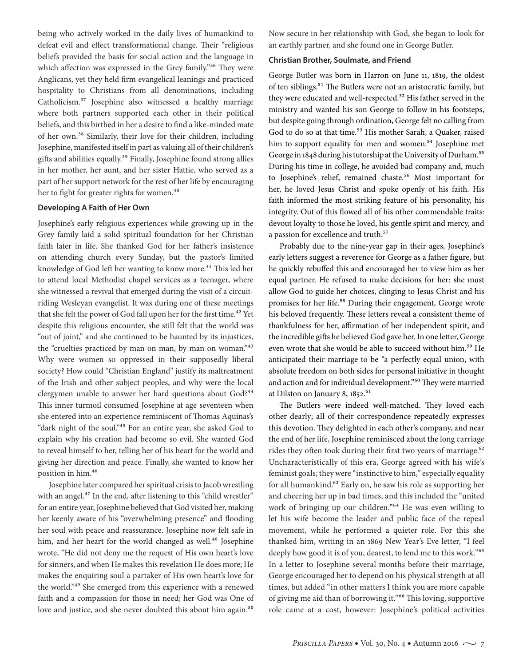being who actively worked in the daily lives of humankind to defeat evil and effect transformational change. Their "religious beliefs provided the basis for social action and the language in which affection was expressed in the Grey family."<sup>36</sup> They were Anglicans, yet they held firm evangelical leanings and practiced hospitality to Christians from all denominations, including Catholicism.37 Josephine also witnessed a healthy marriage where both partners supported each other in their political beliefs, and this birthed in her a desire to find a like-minded mate of her own.38 Similarly, their love for their children, including Josephine, manifested itself in part as valuing all of their children's gifts and abilities equally.<sup>39</sup> Finally, Josephine found strong allies in her mother, her aunt, and her sister Hattie, who served as a part of her support network for the rest of her life by encouraging her to fight for greater rights for women.<sup>40</sup>

#### **Developing A Faith of Her Own**

Josephine's early religious experiences while growing up in the Grey family laid a solid spiritual foundation for her Christian faith later in life. She thanked God for her father's insistence on attending church every Sunday, but the pastor's limited knowledge of God left her wanting to know more.<sup>41</sup> This led her to attend local Methodist chapel services as a teenager, where she witnessed a revival that emerged during the visit of a circuitriding Wesleyan evangelist. It was during one of these meetings that she felt the power of God fall upon her for the first time.<sup>42</sup> Yet despite this religious encounter, she still felt that the world was "out of joint," and she continued to be haunted by its injustices, the "cruelties practiced by man on man, by man on woman."<sup>43</sup> Why were women so oppressed in their supposedly liberal society? How could "Christian England" justify its maltreatment of the Irish and other subject peoples, and why were the local clergymen unable to answer her hard questions about God?<sup>44</sup> This inner turmoil consumed Josephine at age seventeen when she entered into an experience reminiscent of Thomas Aquinas's "dark night of the soul."<sup>45</sup> For an entire year, she asked God to explain why his creation had become so evil. She wanted God to reveal himself to her, telling her of his heart for the world and giving her direction and peace. Finally, she wanted to know her position in him.46

Josephine later compared her spiritual crisis to Jacob wrestling with an angel.<sup>47</sup> In the end, after listening to this "child wrestler" for an entire year, Josephine believed that God visited her, making her keenly aware of his "overwhelming presence" and flooding her soul with peace and reassurance. Josephine now felt safe in him, and her heart for the world changed as well.<sup>48</sup> Josephine wrote, "He did not deny me the request of His own heart's love for sinners, and when He makes this revelation He does more; He makes the enquiring soul a partaker of His own heart's love for the world."49 She emerged from this experience with a renewed faith and a compassion for those in need; her God was One of love and justice, and she never doubted this about him again.<sup>50</sup>

Now secure in her relationship with God, she began to look for an earthly partner, and she found one in George Butler.

#### **Christian Brother, Soulmate, and Friend**

George Butler was born in Harron on June 11, 1819, the oldest of ten siblings.<sup>51</sup> The Butlers were not an aristocratic family, but they were educated and well-respected.<sup>52</sup> His father served in the ministry and wanted his son George to follow in his footsteps, but despite going through ordination, George felt no calling from God to do so at that time.<sup>53</sup> His mother Sarah, a Quaker, raised him to support equality for men and women.<sup>54</sup> Josephine met George in 1848 during his tutorship at the University of Durham.55 During his time in college, he avoided bad company and, much to Josephine's relief, remained chaste.<sup>56</sup> Most important for her, he loved Jesus Christ and spoke openly of his faith. His faith informed the most striking feature of his personality, his integrity. Out of this flowed all of his other commendable traits: devout loyalty to those he loved, his gentle spirit and mercy, and a passion for excellence and truth.<sup>57</sup>

Probably due to the nine-year gap in their ages, Josephine's early letters suggest a reverence for George as a father figure, but he quickly rebuffed this and encouraged her to view him as her equal partner. He refused to make decisions for her: she must allow God to guide her choices, clinging to Jesus Christ and his promises for her life.<sup>58</sup> During their engagement, George wrote his beloved frequently. These letters reveal a consistent theme of thankfulness for her, affirmation of her independent spirit, and the incredible gifts he believed God gave her. In one letter, George even wrote that she would be able to succeed without him.<sup>59</sup> He anticipated their marriage to be "a perfectly equal union, with absolute freedom on both sides for personal initiative in thought and action and for individual development."60 They were married at Dilston on January 8, 1852.<sup>61</sup>

The Butlers were indeed well-matched. They loved each other dearly; all of their correspondence repeatedly expresses this devotion. They delighted in each other's company, and near the end of her life, Josephine reminisced about the long carriage rides they often took during their first two years of marriage.<sup>62</sup> Uncharacteristically of this era, George agreed with his wife's feminist goals; they were "instinctive to him," especially equality for all humankind.<sup>63</sup> Early on, he saw his role as supporting her and cheering her up in bad times, and this included the "united work of bringing up our children."64 He was even willing to let his wife become the leader and public face of the repeal movement, while he performed a quieter role. For this she thanked him, writing in an 1869 New Year's Eve letter, "I feel deeply how good it is of you, dearest, to lend me to this work."65 In a letter to Josephine several months before their marriage, George encouraged her to depend on his physical strength at all times, but added "in other matters I think you are more capable of giving me aid than of borrowing it."66 This loving, supportive role came at a cost, however: Josephine's political activities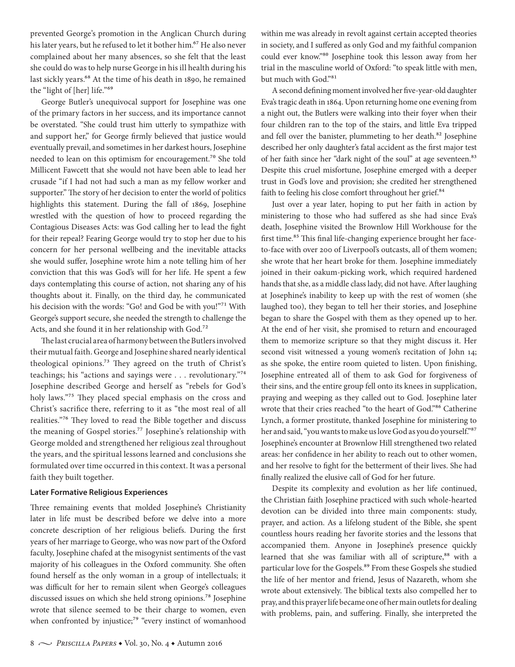prevented George's promotion in the Anglican Church during his later years, but he refused to let it bother him.<sup>67</sup> He also never complained about her many absences, so she felt that the least she could do was to help nurse George in his ill health during his last sickly years.68 At the time of his death in 1890, he remained the "light of [her] life."69

George Butler's unequivocal support for Josephine was one of the primary factors in her success, and its importance cannot be overstated. "She could trust him utterly to sympathize with and support her," for George firmly believed that justice would eventually prevail, and sometimes in her darkest hours, Josephine needed to lean on this optimism for encouragement.<sup>70</sup> She told Millicent Fawcett that she would not have been able to lead her crusade "if I had not had such a man as my fellow worker and supporter." The story of her decision to enter the world of politics highlights this statement. During the fall of 1869, Josephine wrestled with the question of how to proceed regarding the Contagious Diseases Acts: was God calling her to lead the fight for their repeal? Fearing George would try to stop her due to his concern for her personal wellbeing and the inevitable attacks she would suffer, Josephine wrote him a note telling him of her conviction that this was God's will for her life. He spent a few days contemplating this course of action, not sharing any of his thoughts about it. Finally, on the third day, he communicated his decision with the words: "Go! and God be with you!"<sup>71</sup> With George's support secure, she needed the strength to challenge the Acts, and she found it in her relationship with God.72

The last crucial area of harmony between the Butlers involved their mutual faith. George and Josephine shared nearly identical theological opinions.<sup>73</sup> They agreed on the truth of Christ's teachings; his "actions and sayings were . . . revolutionary."74 Josephine described George and herself as "rebels for God's holy laws."75 They placed special emphasis on the cross and Christ's sacrifice there, referring to it as "the most real of all realities."76 They loved to read the Bible together and discuss the meaning of Gospel stories.<sup>77</sup> Josephine's relationship with George molded and strengthened her religious zeal throughout the years, and the spiritual lessons learned and conclusions she formulated over time occurred in this context. It was a personal faith they built together.

#### **Later Formative Religious Experiences**

Three remaining events that molded Josephine's Christianity later in life must be described before we delve into a more concrete description of her religious beliefs. During the first years of her marriage to George, who was now part of the Oxford faculty, Josephine chafed at the misogynist sentiments of the vast majority of his colleagues in the Oxford community. She often found herself as the only woman in a group of intellectuals; it was difficult for her to remain silent when George's colleagues discussed issues on which she held strong opinions.78 Josephine wrote that silence seemed to be their charge to women, even when confronted by injustice;<sup>79</sup> "every instinct of womanhood within me was already in revolt against certain accepted theories in society, and I suffered as only God and my faithful companion could ever know."80 Josephine took this lesson away from her trial in the masculine world of Oxford: "to speak little with men, but much with God."81

A second defining moment involved her five-year-old daughter Eva's tragic death in 1864. Upon returning home one evening from a night out, the Butlers were walking into their foyer when their four children ran to the top of the stairs, and little Eva tripped and fell over the banister, plummeting to her death.<sup>82</sup> Josephine described her only daughter's fatal accident as the first major test of her faith since her "dark night of the soul" at age seventeen.<sup>83</sup> Despite this cruel misfortune, Josephine emerged with a deeper trust in God's love and provision; she credited her strengthened faith to feeling his close comfort throughout her grief.<sup>84</sup>

Just over a year later, hoping to put her faith in action by ministering to those who had suffered as she had since Eva's death, Josephine visited the Brownlow Hill Workhouse for the first time.<sup>85</sup> This final life-changing experience brought her faceto-face with over 200 of Liverpool's outcasts, all of them women; she wrote that her heart broke for them. Josephine immediately joined in their oakum-picking work, which required hardened hands that she, as a middle class lady, did not have. After laughing at Josephine's inability to keep up with the rest of women (she laughed too), they began to tell her their stories, and Josephine began to share the Gospel with them as they opened up to her. At the end of her visit, she promised to return and encouraged them to memorize scripture so that they might discuss it. Her second visit witnessed a young women's recitation of John 14; as she spoke, the entire room quieted to listen. Upon finishing, Josephine entreated all of them to ask God for forgiveness of their sins, and the entire group fell onto its knees in supplication, praying and weeping as they called out to God. Josephine later wrote that their cries reached "to the heart of God."86 Catherine Lynch, a former prostitute, thanked Josephine for ministering to her and said, "you wants to make us love God as you do yourself."87 Josephine's encounter at Brownlow Hill strengthened two related areas: her confidence in her ability to reach out to other women, and her resolve to fight for the betterment of their lives. She had finally realized the elusive call of God for her future.

Despite its complexity and evolution as her life continued, the Christian faith Josephine practiced with such whole-hearted devotion can be divided into three main components: study, prayer, and action. As a lifelong student of the Bible, she spent countless hours reading her favorite stories and the lessons that accompanied them. Anyone in Josephine's presence quickly learned that she was familiar with all of scripture,<sup>88</sup> with a particular love for the Gospels.<sup>89</sup> From these Gospels she studied the life of her mentor and friend, Jesus of Nazareth, whom she wrote about extensively. The biblical texts also compelled her to pray, and this prayer life became one of her main outlets for dealing with problems, pain, and suffering. Finally, she interpreted the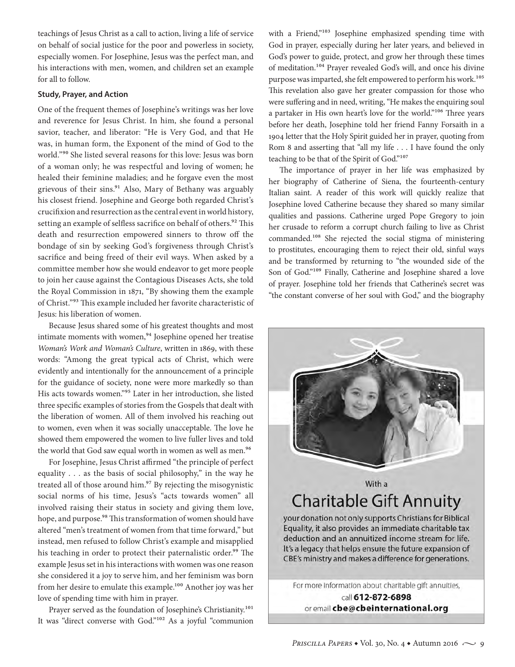teachings of Jesus Christ as a call to action, living a life of service on behalf of social justice for the poor and powerless in society, especially women. For Josephine, Jesus was the perfect man, and his interactions with men, women, and children set an example for all to follow.

#### **Study, Prayer, and Action**

One of the frequent themes of Josephine's writings was her love and reverence for Jesus Christ. In him, she found a personal savior, teacher, and liberator: "He is Very God, and that He was, in human form, the Exponent of the mind of God to the world."90 She listed several reasons for this love: Jesus was born of a woman only; he was respectful and loving of women; he healed their feminine maladies; and he forgave even the most grievous of their sins.<sup>91</sup> Also, Mary of Bethany was arguably his closest friend. Josephine and George both regarded Christ's crucifixion and resurrection as the central event in world history, setting an example of selfless sacrifice on behalf of others.<sup>92</sup> This death and resurrection empowered sinners to throw off the bondage of sin by seeking God's forgiveness through Christ's sacrifice and being freed of their evil ways. When asked by a committee member how she would endeavor to get more people to join her cause against the Contagious Diseases Acts, she told the Royal Commission in 1871, "By showing them the example of Christ."93 This example included her favorite characteristic of Jesus: his liberation of women.

Because Jesus shared some of his greatest thoughts and most intimate moments with women,<sup>94</sup> Josephine opened her treatise *Woman's Work and Woman's Culture*, written in 1869, with these words: "Among the great typical acts of Christ, which were evidently and intentionally for the announcement of a principle for the guidance of society, none were more markedly so than His acts towards women."95 Later in her introduction, she listed three specific examples of stories from the Gospels that dealt with the liberation of women. All of them involved his reaching out to women, even when it was socially unacceptable. The love he showed them empowered the women to live fuller lives and told the world that God saw equal worth in women as well as men.<sup>96</sup>

For Josephine, Jesus Christ affirmed "the principle of perfect equality . . . as the basis of social philosophy," in the way he treated all of those around him.<sup>97</sup> By rejecting the misogynistic social norms of his time, Jesus's "acts towards women" all involved raising their status in society and giving them love, hope, and purpose.<sup>98</sup> This transformation of women should have altered "men's treatment of women from that time forward," but instead, men refused to follow Christ's example and misapplied his teaching in order to protect their paternalistic order.<sup>99</sup> The example Jesus set in his interactions with women was one reason she considered it a joy to serve him, and her feminism was born from her desire to emulate this example.<sup>100</sup> Another joy was her love of spending time with him in prayer.

Prayer served as the foundation of Josephine's Christianity.<sup>101</sup> It was "direct converse with God."102 As a joyful "communion with a Friend,"<sup>103</sup> Josephine emphasized spending time with God in prayer, especially during her later years, and believed in God's power to guide, protect, and grow her through these times of meditation.104 Prayer revealed God's will, and once his divine purpose was imparted, she felt empowered to perform his work.<sup>105</sup> This revelation also gave her greater compassion for those who were suffering and in need, writing, "He makes the enquiring soul a partaker in His own heart's love for the world."106 Three years before her death, Josephine told her friend Fanny Forsaith in a 1904 letter that the Holy Spirit guided her in prayer, quoting from Rom 8 and asserting that "all my life . . . I have found the only teaching to be that of the Spirit of God."107

The importance of prayer in her life was emphasized by her biography of Catherine of Siena, the fourteenth-century Italian saint. A reader of this work will quickly realize that Josephine loved Catherine because they shared so many similar qualities and passions. Catherine urged Pope Gregory to join her crusade to reform a corrupt church failing to live as Christ commanded.108 She rejected the social stigma of ministering to prostitutes, encouraging them to reject their old, sinful ways and be transformed by returning to "the wounded side of the Son of God."109 Finally, Catherine and Josephine shared a love of prayer. Josephine told her friends that Catherine's secret was "the constant converse of her soul with God," and the biography

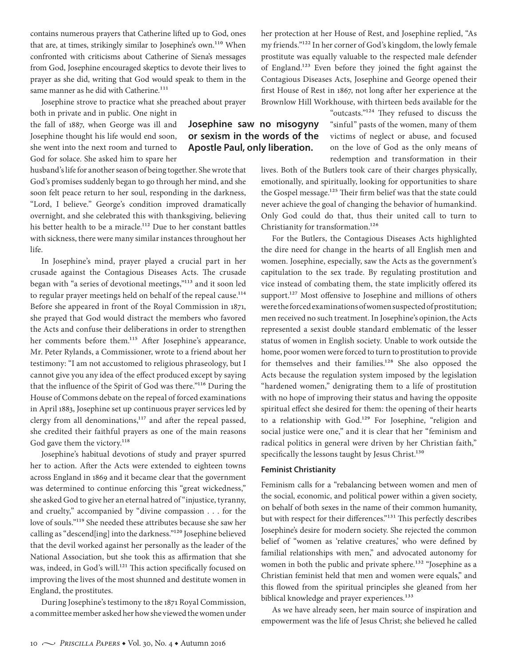contains numerous prayers that Catherine lifted up to God, ones that are, at times, strikingly similar to Josephine's own.<sup>110</sup> When confronted with criticisms about Catherine of Siena's messages from God, Josephine encouraged skeptics to devote their lives to prayer as she did, writing that God would speak to them in the same manner as he did with Catherine.<sup>111</sup>

Josephine strove to practice what she preached about prayer

both in private and in public. One night in the fall of 1887, when George was ill and Josephine thought his life would end soon, she went into the next room and turned to God for solace. She asked him to spare her

husband's life for another season of being together. She wrote that God's promises suddenly began to go through her mind, and she soon felt peace return to her soul, responding in the darkness, "Lord, I believe." George's condition improved dramatically overnight, and she celebrated this with thanksgiving, believing his better health to be a miracle.<sup>112</sup> Due to her constant battles with sickness, there were many similar instances throughout her life.

In Josephine's mind, prayer played a crucial part in her crusade against the Contagious Diseases Acts. The crusade began with "a series of devotional meetings,"113 and it soon led to regular prayer meetings held on behalf of the repeal cause.<sup>114</sup> Before she appeared in front of the Royal Commission in 1871, she prayed that God would distract the members who favored the Acts and confuse their deliberations in order to strengthen her comments before them.<sup>115</sup> After Josephine's appearance, Mr. Peter Rylands, a Commissioner, wrote to a friend about her testimony: "I am not accustomed to religious phraseology, but I cannot give you any idea of the effect produced except by saying that the influence of the Spirit of God was there."116 During the House of Commons debate on the repeal of forced examinations in April 1883, Josephine set up continuous prayer services led by clergy from all denominations,<sup>117</sup> and after the repeal passed, she credited their faithful prayers as one of the main reasons God gave them the victory.<sup>118</sup>

Josephine's habitual devotions of study and prayer spurred her to action. After the Acts were extended to eighteen towns across England in 1869 and it became clear that the government was determined to continue enforcing this "great wickedness," she asked God to give her an eternal hatred of "injustice, tyranny, and cruelty," accompanied by "divine compassion . . . for the love of souls."119 She needed these attributes because she saw her calling as "descend[ing] into the darkness."120 Josephine believed that the devil worked against her personally as the leader of the National Association, but she took this as affirmation that she was, indeed, in God's will.<sup>121</sup> This action specifically focused on improving the lives of the most shunned and destitute women in England, the prostitutes.

During Josephine's testimony to the 1871 Royal Commission, a committee member asked her how she viewed the women under her protection at her House of Rest, and Josephine replied, "As my friends."122 In her corner of God's kingdom, the lowly female prostitute was equally valuable to the respected male defender of England.123 Even before they joined the fight against the Contagious Diseases Acts, Josephine and George opened their first House of Rest in 1867, not long after her experience at the Brownlow Hill Workhouse, with thirteen beds available for the

> "outcasts."124 They refused to discuss the "sinful" pasts of the women, many of them victims of neglect or abuse, and focused on the love of God as the only means of redemption and transformation in their

lives. Both of the Butlers took care of their charges physically, emotionally, and spiritually, looking for opportunities to share the Gospel message.<sup>125</sup> Their firm belief was that the state could never achieve the goal of changing the behavior of humankind. Only God could do that, thus their united call to turn to Christianity for transformation.<sup>126</sup>

For the Butlers, the Contagious Diseases Acts highlighted the dire need for change in the hearts of all English men and women. Josephine, especially, saw the Acts as the government's capitulation to the sex trade. By regulating prostitution and vice instead of combating them, the state implicitly offered its support.<sup>127</sup> Most offensive to Josephine and millions of others were the forced examinations of women suspected of prostitution; men received no such treatment. In Josephine's opinion, the Acts represented a sexist double standard emblematic of the lesser status of women in English society. Unable to work outside the home, poor women were forced to turn to prostitution to provide for themselves and their families.<sup>128</sup> She also opposed the Acts because the regulation system imposed by the legislation "hardened women," denigrating them to a life of prostitution with no hope of improving their status and having the opposite spiritual effect she desired for them: the opening of their hearts to a relationship with God.<sup>129</sup> For Josephine, "religion and social justice were one," and it is clear that her "feminism and radical politics in general were driven by her Christian faith," specifically the lessons taught by Jesus Christ.<sup>130</sup>

#### **Feminist Christianity**

Feminism calls for a "rebalancing between women and men of the social, economic, and political power within a given society, on behalf of both sexes in the name of their common humanity, but with respect for their differences."<sup>131</sup> This perfectly describes Josephine's desire for modern society. She rejected the common belief of "women as 'relative creatures,' who were defined by familial relationships with men," and advocated autonomy for women in both the public and private sphere.<sup>132</sup> "Josephine as a Christian feminist held that men and women were equals," and this flowed from the spiritual principles she gleaned from her biblical knowledge and prayer experiences.<sup>133</sup>

As we have already seen, her main source of inspiration and empowerment was the life of Jesus Christ; she believed he called

## **Josephine saw no misogyny or sexism in the words of the Apostle Paul, only liberation.**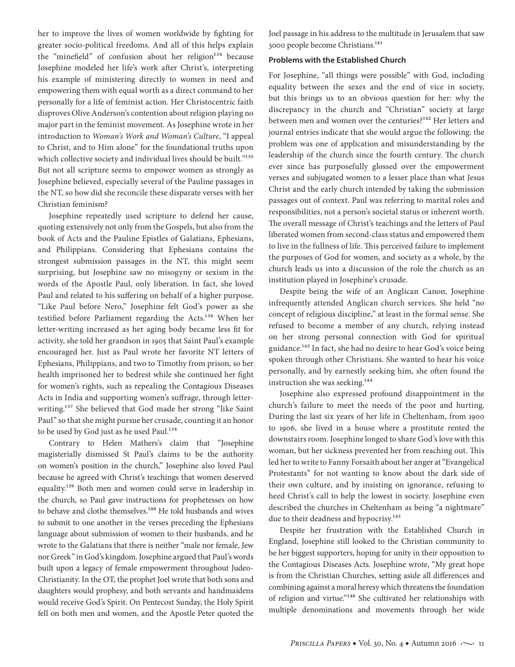her to improve the lives of women worldwide by fighting for greater socio-political freedoms. And all of this helps explain the "minefield" of confusion about her religion $134$  because Josephine modeled her life's work after Christ's, interpreting his example of ministering directly to women in need and empowering them with equal worth as a direct command to her personally for a life of feminist action. Her Christocentric faith disproves Olive Anderson's contention about religion playing no major part in the feminist movement. As Josephine wrote in her introduction to *Woman's Work and Woman's Culture*, "I appeal to Christ, and to Him alone" for the foundational truths upon which collective society and individual lives should be built."135 But not all scripture seems to empower women as strongly as Josephine believed, especially several of the Pauline passages in the NT, so how did she reconcile these disparate verses with her Christian feminism?

Josephine repeatedly used scripture to defend her cause, quoting extensively not only from the Gospels, but also from the book of Acts and the Pauline Epistles of Galatians, Ephesians, and Philippians. Considering that Ephesians contains the strongest submission passages in the NT, this might seem surprising, but Josephine saw no misogyny or sexism in the words of the Apostle Paul, only liberation. In fact, she loved Paul and related to his suffering on behalf of a higher purpose. "Like Paul before Nero," Josephine felt God's power as she testified before Parliament regarding the Acts.136 When her letter-writing increased as her aging body became less fit for activity, she told her grandson in 1905 that Saint Paul's example encouraged her. Just as Paul wrote her favorite NT letters of Ephesians, Philippians, and two to Timothy from prison, so her health imprisoned her to bedrest while she continued her fight for women's rights, such as repealing the Contagious Diseases Acts in India and supporting women's suffrage, through letterwriting.<sup>137</sup> She believed that God made her strong "like Saint Paul" so that she might pursue her crusade, counting it an honor to be used by God just as he used Paul.<sup>138</sup>

Contrary to Helen Mathers's claim that "Josephine magisterially dismissed St Paul's claims to be the authority on women's position in the church," Josephine also loved Paul because he agreed with Christ's teachings that women deserved equality.139 Both men and women could serve in leadership in the church, so Paul gave instructions for prophetesses on how to behave and clothe themselves.<sup>140</sup> He told husbands and wives to submit to one another in the verses preceding the Ephesians language about submission of women to their husbands, and he wrote to the Galatians that there is neither "male nor female, Jew nor Greek" in God's kingdom. Josephine argued that Paul's words built upon a legacy of female empowerment throughout Judeo-Christianity. In the OT, the prophet Joel wrote that both sons and daughters would prophesy, and both servants and handmaidens would receive God's Spirit. On Pentecost Sunday, the Holy Spirit fell on both men and women, and the Apostle Peter quoted the Joel passage in his address to the multitude in Jerusalem that saw 3000 people become Christians.141

#### **Problems with the Established Church**

For Josephine, "all things were possible" with God, including equality between the sexes and the end of vice in society, but this brings us to an obvious question for her: why the discrepancy in the church and "Christian" society at large between men and women over the centuries?<sup>142</sup> Her letters and journal entries indicate that she would argue the following: the problem was one of application and misunderstanding by the leadership of the church since the fourth century. The church ever since has purposefully glossed over the empowerment verses and subjugated women to a lesser place than what Jesus Christ and the early church intended by taking the submission passages out of context. Paul was referring to marital roles and responsibilities, not a person's societal status or inherent worth. The overall message of Christ's teachings and the letters of Paul liberated women from second-class status and empowered them to live in the fullness of life. This perceived failure to implement the purposes of God for women, and society as a whole, by the church leads us into a discussion of the role the church as an institution played in Josephine's crusade.

Despite being the wife of an Anglican Canon, Josephine infrequently attended Anglican church services. She held "no concept of religious discipline," at least in the formal sense. She refused to become a member of any church, relying instead on her strong personal connection with God for spiritual guidance.<sup>143</sup> In fact, she had no desire to hear God's voice being spoken through other Christians. She wanted to hear his voice personally, and by earnestly seeking him, she often found the instruction she was seeking.144

Josephine also expressed profound disappointment in the church's failure to meet the needs of the poor and hurting. During the last six years of her life in Cheltenham, from 1900 to 1906, she lived in a house where a prostitute rented the downstairs room. Josephine longed to share God's love with this woman, but her sickness prevented her from reaching out. This led her to write to Fanny Forsaith about her anger at "Evangelical Protestants" for not wanting to know about the dark side of their own culture, and by insisting on ignorance, refusing to heed Christ's call to help the lowest in society. Josephine even described the churches in Cheltenham as being "a nightmare" due to their deadness and hypocrisy.<sup>145</sup>

Despite her frustration with the Established Church in England, Josephine still looked to the Christian community to be her biggest supporters, hoping for unity in their opposition to the Contagious Diseases Acts. Josephine wrote, "My great hope is from the Christian Churches, setting aside all differences and combining against a moral heresy which threatens the foundation of religion and virtue."146 She cultivated her relationships with multiple denominations and movements through her wide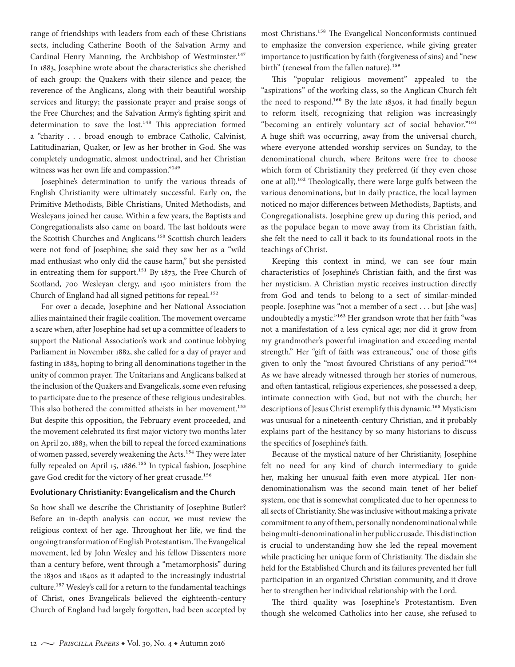range of friendships with leaders from each of these Christians sects, including Catherine Booth of the Salvation Army and Cardinal Henry Manning, the Archbishop of Westminster.<sup>147</sup> In 1883, Josephine wrote about the characteristics she cherished of each group: the Quakers with their silence and peace; the reverence of the Anglicans, along with their beautiful worship services and liturgy; the passionate prayer and praise songs of the Free Churches; and the Salvation Army's fighting spirit and determination to save the lost.<sup>148</sup> This appreciation formed a "charity . . . broad enough to embrace Catholic, Calvinist, Latitudinarian, Quaker, or Jew as her brother in God. She was completely undogmatic, almost undoctrinal, and her Christian witness was her own life and compassion."<sup>149</sup>

Josephine's determination to unify the various threads of English Christianity were ultimately successful. Early on, the Primitive Methodists, Bible Christians, United Methodists, and Wesleyans joined her cause. Within a few years, the Baptists and Congregationalists also came on board. The last holdouts were the Scottish Churches and Anglicans.<sup>150</sup> Scottish church leaders were not fond of Josephine; she said they saw her as a "wild mad enthusiast who only did the cause harm," but she persisted in entreating them for support.<sup>151</sup> By 1873, the Free Church of Scotland, 700 Wesleyan clergy, and 1500 ministers from the Church of England had all signed petitions for repeal.<sup>152</sup>

For over a decade, Josephine and her National Association allies maintained their fragile coalition. The movement overcame a scare when, after Josephine had set up a committee of leaders to support the National Association's work and continue lobbying Parliament in November 1882, she called for a day of prayer and fasting in 1883, hoping to bring all denominations together in the unity of common prayer. The Unitarians and Anglicans balked at the inclusion of the Quakers and Evangelicals, some even refusing to participate due to the presence of these religious undesirables. This also bothered the committed atheists in her movement.<sup>153</sup> But despite this opposition, the February event proceeded, and the movement celebrated its first major victory two months later on April 20, 1883, when the bill to repeal the forced examinations of women passed, severely weakening the Acts.154 They were later fully repealed on April 15, 1886.<sup>155</sup> In typical fashion, Josephine gave God credit for the victory of her great crusade.<sup>156</sup>

#### **Evolutionary Christianity: Evangelicalism and the Church**

So how shall we describe the Christianity of Josephine Butler? Before an in-depth analysis can occur, we must review the religious context of her age. Throughout her life, we find the ongoing transformation of English Protestantism. The Evangelical movement, led by John Wesley and his fellow Dissenters more than a century before, went through a "metamorphosis" during the 1830s and 1840s as it adapted to the increasingly industrial culture.157 Wesley's call for a return to the fundamental teachings of Christ, ones Evangelicals believed the eighteenth-century Church of England had largely forgotten, had been accepted by most Christians.158 The Evangelical Nonconformists continued to emphasize the conversion experience, while giving greater importance to justification by faith (forgiveness of sins) and "new birth" (renewal from the fallen nature).<sup>159</sup>

This "popular religious movement" appealed to the "aspirations" of the working class, so the Anglican Church felt the need to respond.<sup>160</sup> By the late 1830s, it had finally begun to reform itself, recognizing that religion was increasingly "becoming an entirely voluntary act of social behavior."161 A huge shift was occurring, away from the universal church, where everyone attended worship services on Sunday, to the denominational church, where Britons were free to choose which form of Christianity they preferred (if they even chose one at all).162 Theologically, there were large gulfs between the various denominations, but in daily practice, the local laymen noticed no major differences between Methodists, Baptists, and Congregationalists. Josephine grew up during this period, and as the populace began to move away from its Christian faith, she felt the need to call it back to its foundational roots in the teachings of Christ.

Keeping this context in mind, we can see four main characteristics of Josephine's Christian faith, and the first was her mysticism. A Christian mystic receives instruction directly from God and tends to belong to a sect of similar-minded people. Josephine was "not a member of a sect . . . but [she was] undoubtedly a mystic."163 Her grandson wrote that her faith "was not a manifestation of a less cynical age; nor did it grow from my grandmother's powerful imagination and exceeding mental strength." Her "gift of faith was extraneous," one of those gifts given to only the "most favoured Christians of any period."164 As we have already witnessed through her stories of numerous, and often fantastical, religious experiences, she possessed a deep, intimate connection with God, but not with the church; her descriptions of Jesus Christ exemplify this dynamic.<sup>165</sup> Mysticism was unusual for a nineteenth-century Christian, and it probably explains part of the hesitancy by so many historians to discuss the specifics of Josephine's faith.

Because of the mystical nature of her Christianity, Josephine felt no need for any kind of church intermediary to guide her, making her unusual faith even more atypical. Her nondenominationalism was the second main tenet of her belief system, one that is somewhat complicated due to her openness to all sects of Christianity. She was inclusive without making a private commitment to any of them, personally nondenominational while being multi-denominational in her public crusade. This distinction is crucial to understanding how she led the repeal movement while practicing her unique form of Christianity. The disdain she held for the Established Church and its failures prevented her full participation in an organized Christian community, and it drove her to strengthen her individual relationship with the Lord.

The third quality was Josephine's Protestantism. Even though she welcomed Catholics into her cause, she refused to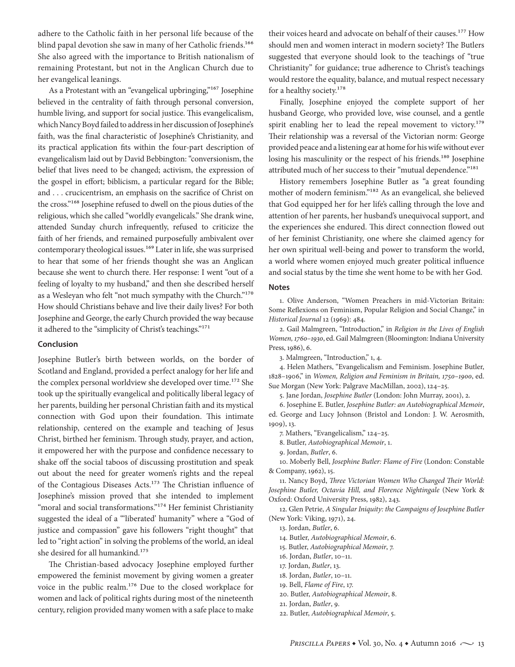adhere to the Catholic faith in her personal life because of the blind papal devotion she saw in many of her Catholic friends.<sup>166</sup> She also agreed with the importance to British nationalism of remaining Protestant, but not in the Anglican Church due to her evangelical leanings.

As a Protestant with an "evangelical upbringing,"167 Josephine believed in the centrality of faith through personal conversion, humble living, and support for social justice. This evangelicalism, which Nancy Boyd failed to address in her discussion of Josephine's faith, was the final characteristic of Josephine's Christianity, and its practical application fits within the four-part description of evangelicalism laid out by David Bebbington: "conversionism, the belief that lives need to be changed; activism, the expression of the gospel in effort; biblicism, a particular regard for the Bible; and . . . crucicentrism, an emphasis on the sacrifice of Christ on the cross."168 Josephine refused to dwell on the pious duties of the religious, which she called "worldly evangelicals." She drank wine, attended Sunday church infrequently, refused to criticize the faith of her friends, and remained purposefully ambivalent over contemporary theological issues.<sup>169</sup> Later in life, she was surprised to hear that some of her friends thought she was an Anglican because she went to church there. Her response: I went "out of a feeling of loyalty to my husband," and then she described herself as a Wesleyan who felt "not much sympathy with the Church."170 How should Christians behave and live their daily lives? For both Josephine and George, the early Church provided the way because it adhered to the "simplicity of Christ's teachings."<sup>171</sup>

#### **Conclusion**

Josephine Butler's birth between worlds, on the border of Scotland and England, provided a perfect analogy for her life and the complex personal worldview she developed over time.<sup>172</sup> She took up the spiritually evangelical and politically liberal legacy of her parents, building her personal Christian faith and its mystical connection with God upon their foundation. This intimate relationship, centered on the example and teaching of Jesus Christ, birthed her feminism. Through study, prayer, and action, it empowered her with the purpose and confidence necessary to shake off the social taboos of discussing prostitution and speak out about the need for greater women's rights and the repeal of the Contagious Diseases Acts.<sup>173</sup> The Christian influence of Josephine's mission proved that she intended to implement "moral and social transformations."<sup>174</sup> Her feminist Christianity suggested the ideal of a "'liberated' humanity" where a "God of justice and compassion" gave his followers "right thought" that led to "right action" in solving the problems of the world, an ideal she desired for all humankind.<sup>175</sup>

The Christian-based advocacy Josephine employed further empowered the feminist movement by giving women a greater voice in the public realm.176 Due to the closed workplace for women and lack of political rights during most of the nineteenth century, religion provided many women with a safe place to make

their voices heard and advocate on behalf of their causes.<sup>177</sup> How should men and women interact in modern society? The Butlers suggested that everyone should look to the teachings of "true Christianity" for guidance; true adherence to Christ's teachings would restore the equality, balance, and mutual respect necessary for a healthy society.<sup>178</sup>

Finally, Josephine enjoyed the complete support of her husband George, who provided love, wise counsel, and a gentle spirit enabling her to lead the repeal movement to victory.<sup>179</sup> Their relationship was a reversal of the Victorian norm: George provided peace and a listening ear at home for his wife without ever losing his masculinity or the respect of his friends.<sup>180</sup> Josephine attributed much of her success to their "mutual dependence."<sup>181</sup>

History remembers Josephine Butler as "a great founding mother of modern feminism."182 As an evangelical, she believed that God equipped her for her life's calling through the love and attention of her parents, her husband's unequivocal support, and the experiences she endured. This direct connection flowed out of her feminist Christianity, one where she claimed agency for her own spiritual well-being and power to transform the world, a world where women enjoyed much greater political influence and social status by the time she went home to be with her God.

#### **Notes**

1. Olive Anderson, "Women Preachers in mid-Victorian Britain: Some Reflexions on Feminism, Popular Religion and Social Change," in *Historical Journal* 12 (1969): 484.

2. Gail Malmgreen, "Introduction," in *Religion in the Lives of English Women, 1760–1930*, ed. Gail Malmgreen (Bloomington: Indiana University Press, 1986), 6.

3. Malmgreen, "Introduction," 1, 4.

4. Helen Mathers, "Evangelicalism and Feminism. Josephine Butler, 1828–1906," in *Women, Religion and Feminism in Britain, 1750–1900*, ed. Sue Morgan (New York: Palgrave MacMillan, 2002), 124–25.

5. Jane Jordan, *Josephine Butler* (London: John Murray, 2001), 2.

6. Josephine E. Butler, *Josephine Butler: an Autobiographical Memoir*, ed. George and Lucy Johnson (Bristol and London: J. W. Aerosmith, 1909), 13.

7. Mathers, "Evangelicalism," 124–25.

8. Butler, *Autobiographical Memoir*, 1.

9. Jordan, *Butler*, 6.

10. Moberly Bell, *Josephine Butler: Flame of Fire* (London: Constable & Company, 1962), 15.

11. Nancy Boyd, *Three Victorian Women Who Changed Their World: Josephine Butler, Octavia Hill, and Florence Nightingale* (New York & Oxford: Oxford University Press, 1982), 243.

12. Glen Petrie, *A Singular Iniquity: the Campaigns of Josephine Butler* (New York: Viking, 1971), 24.

13. Jordan, *Butler*, 6.

14. Butler, *Autobiographical Memoir*, 6.

15. Butler, *Autobiographical Memoir*, 7.

16. Jordan, *Butler*, 10–11.

- 17. Jordan, *Butler*, 13.
- 18. Jordan, *Butler*, 10–11.
- 19. Bell, *Flame of Fire*, 17.
- 20. Butler, *Autobiographical Memoir*, 8.
- 21. Jordan, *Butler*, 9.
- 22. Butler, *Autobiographical Memoir*, 5.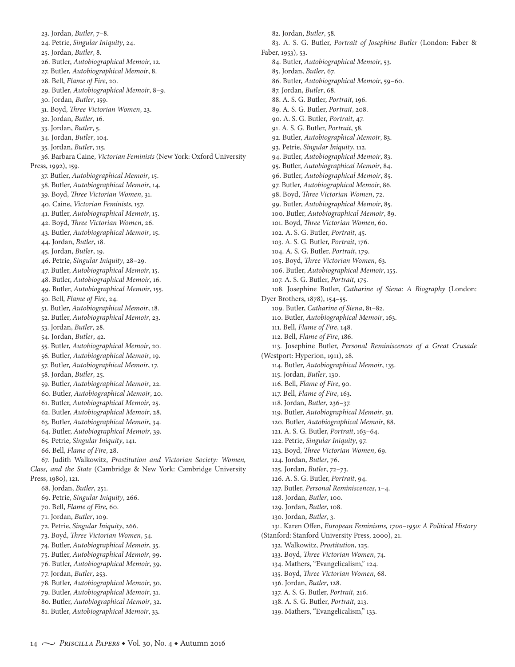23. Jordan, *Butler*, 7–8. 24. Petrie, *Singular Iniquity*, 24. 25. Jordan, *Butler*, 8. 26. Butler, *Autobiographical Memoir*, 12. 27. Butler, *Autobiographical Memoir*, 8. 28. Bell, *Flame of Fire*, 20. 29. Butler, *Autobiographical Memoir*, 8–9. 30. Jordan, *Butler*, 159. 31. Boyd, *Three Victorian Women*, 23. 32. Jordan, *Butler*, 16. 33. Jordan, *Butler*, 5. 34. Jordan, *Butler*, 104. 35. Jordan, *Butler*, 115. 36. Barbara Caine, *Victorian Feminists* (New York: Oxford University Press, 1992), 159. 37. Butler, *Autobiographical Memoir*, 15. 38. Butler, *Autobiographical Memoir*, 14. 39. Boyd, *Three Victorian Women*, 31. 40. Caine, *Victorian Feminists*, 157. 41. Butler, *Autobiographical Memoir*, 15. 42. Boyd, *Three Victorian Women*, 26. 43. Butler, *Autobiographical Memoir*, 15. 44. Jordan, *Butler*, 18. 45. Jordan, *Butler*, 19. 46. Petrie, *Singular Iniquity*, 28–29. 47. Butler, *Autobiographical Memoir*, 15. 48. Butler, *Autobiographical Memoir*, 16. 49. Butler, *Autobiographical Memoir*, 155. 50. Bell, *Flame of Fire*, 24. 51. Butler, *Autobiographical Memoir*, 18. 52. Butler, *Autobiographical Memoir*, 23. 53. Jordan, *Butler*, 28. 54. Jordan, *Butler*, 42. 55. Butler, *Autobiographical Memoir*, 20. 56. Butler, *Autobiographical Memoir*, 19. 57. Butler, *Autobiographical Memoir*, 17. 58. Jordan, *Butler*, 25. 59. Butler, *Autobiographical Memoir*, 22. 60. Butler, *Autobiographical Memoir*, 20. 61. Butler, *Autobiographical Memoir*, 25. 62. Butler, *Autobiographical Memoir*, 28. 63. Butler, *Autobiographical Memoir*, 34. 64. Butler, *Autobiographical Memoir*, 39. 65. Petrie, *Singular Iniquity*, 141. 66. Bell, *Flame of Fire*, 28. 67. Judith Walkowitz, *Prostitution and Victorian Society: Women, Class, and the State* (Cambridge & New York: Cambridge University Press, 1980), 121. 68. Jordan, *Butler*, 251. 69. Petrie, *Singular Iniquity*, 266. 70. Bell, *Flame of Fire*, 60. 71. Jordan, *Butler*, 109. 72. Petrie, *Singular Iniquity*, 266. 73. Boyd, *Three Victorian Women*, 54. 74. Butler, *Autobiographical Memoir*, 35. 75. Butler, *Autobiographical Memoir*, 99. 76. Butler, *Autobiographical Memoir*, 39. 77. Jordan, *Butler*, 253. 78. Butler, *Autobiographical Memoir*, 30. 79. Butler, *Autobiographical Memoir*, 31. 80. Butler, *Autobiographical Memoir*, 32. 81. Butler, *Autobiographical Memoir*, 33.

82. Jordan, *Butler*, 58. 83. A. S. G. Butler, *Portrait of Josephine Butler* (London: Faber & Faber, 1953), 53. 84. Butler, *Autobiographical Memoir*, 53. 85. Jordan, *Butler*, 67. 86. Butler, *Autobiographical Memoir*, 59–60. 87. Jordan, *Butler*, 68. 88. A. S. G. Butler, *Portrait*, 196. 89. A. S. G. Butler, *Portrait*, 208. 90. A. S. G. Butler, *Portrait*, 47. 91. A. S. G. Butler, *Portrait*, 58. 92. Butler, *Autobiographical Memoir*, 83. 93. Petrie, *Singular Iniquity*, 112. 94. Butler, *Autobiographical Memoir*, 83. 95. Butler, *Autobiographical Memoir*, 84. 96. Butler, *Autobiographical Memoir*, 85. 97. Butler, *Autobiographical Memoir*, 86. 98. Boyd, *Three Victorian Women*, 72. 99. Butler, *Autobiographical Memoir*, 85. 100. Butler, *Autobiographical Memoir*, 89. 101. Boyd, *Three Victorian Women*, 60. 102. A. S. G. Butler, *Portrait*, 45. 103. A. S. G. Butler, *Portrait*, 176. 104. A. S. G. Butler, *Portrait*, 179. 105. Boyd, *Three Victorian Women*, 63. 106. Butler, *Autobiographical Memoir*, 155. 107. A. S. G. Butler, *Portrait*, 175. 108. Josephine Butler, *Catharine of Siena: A Biography* (London: Dyer Brothers, 1878), 154–55. 109. Butler, *Catharine of Siena*, 81–82. 110. Butler, *Autobiographical Memoir*, 163. 111. Bell, *Flame of Fire*, 148. 112. Bell, *Flame of Fire*, 186. 113. Josephine Butler, *Personal Reminiscences of a Great Crusade* (Westport: Hyperion, 1911), 28. 114. Butler, *Autobiographical Memoir*, 135. 115. Jordan, *Butler*, 130. 116. Bell, *Flame of Fire*, 90. 117. Bell, *Flame of Fire*, 163. 118. Jordan, *Butler*, 236–37. 119. Butler, *Autobiographical Memoir*, 91. 120. Butler, *Autobiographical Memoir*, 88. 121. A. S. G. Butler, *Portrait*, 163–64. 122. Petrie, *Singular Iniquity*, 97. 123. Boyd, *Three Victorian Women*, 69. 124. Jordan, *Butler*, 76. 125. Jordan, *Butler*, 72–73. 126. A. S. G. Butler, *Portrait*, 94. 127. Butler, *Personal Reminiscences*, 1–4. 128. Jordan, *Butler*, 100. 129. Jordan, *Butler*, 108. 130. Jordan, *Butler*, 3. 131. Karen Offen, *European Feminisms, 1700–1950: A Political History* (Stanford: Stanford University Press, 2000), 21. 132. Walkowitz, *Prostitution*, 125. 133. Boyd, *Three Victorian Women*, 74. 134. Mathers, "Evangelicalism," 124. 135. Boyd, *Three Victorian Women*, 68. 136. Jordan, *Butler*, 128. 137. A. S. G. Butler, *Portrait*, 216. 138. A. S. G. Butler, *Portrait*, 213. 139. Mathers, "Evangelicalism," 133.